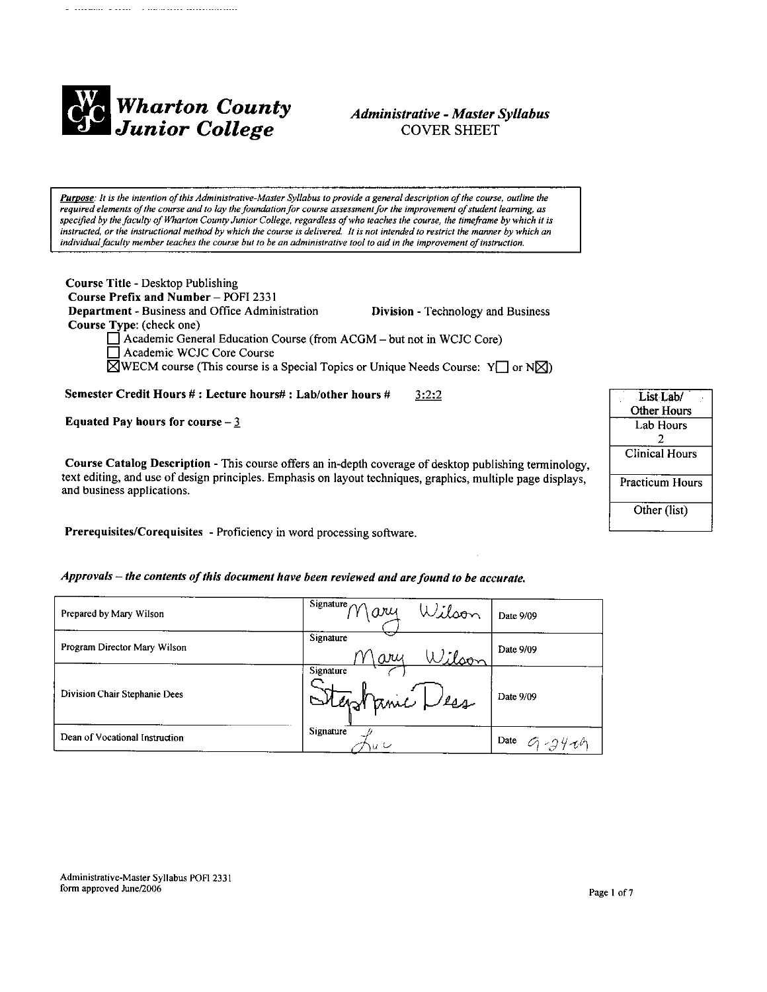

# **Administrative - Master Syllabus COVER SHEET**

Purpose: It is the intention of this Administrative-Master Syllabus to provide a general description of the course, outline the required elements of the course and to lay the foundation for course assessment for the improvement of student learning, as specified by the faculty of Wharton County Junior College, regardless of who teaches the course, the timeframe by which it is instructed, or the instructional method by which the course is delivered. It is not intended to restrict the manner by which an individual faculty member teaches the course but to be an administrative tool to aid in the improvement of instruction.

Course Title - Desktop Publishing Course Prefix and Number - POFI 2331 Department - Business and Office Administration Division - Technology and Business Course Type: (check one)  $\Box$  Academic General Education Course (from ACGM – but not in WCJC Core) Academic WCJC Core Course  $\boxtimes$ WECM course (This course is a Special Topics or Unique Needs Course: Y or N $\boxtimes$ )

Semester Credit Hours #: Lecture hours#: Lab/other hours #  $3:2:2$ 

Equated Pay hours for course  $-\frac{3}{2}$ 

Course Catalog Description - This course offers an in-depth coverage of desktop publishing terminology, text editing, and use of design principles. Emphasis on layout techniques, graphics, multiple page displays, and business applications.

Prerequisites/Corequisites - Proficiency in word processing software.

Approvals - the contents of this document have been reviewed and are found to be accurate.

| Prepared by Mary Wilson        | Signature $\sim$<br>Wilson<br>ary | Date 9/09 |
|--------------------------------|-----------------------------------|-----------|
| Program Director Mary Wilson   | Signature<br>Wilson<br>V\ary      | Date 9/09 |
| Division Chair Stephanie Dees  | Signature<br>Stephanic Dess       | Date 9/09 |
| Dean of Vocational Instruction | Signature<br>u U                  | Date      |

| List <sub>Lab</sub> /  |  |
|------------------------|--|
| <b>Other Hours</b>     |  |
| Lab Hours              |  |
| 2                      |  |
| <b>Clinical Hours</b>  |  |
| <b>Practicum Hours</b> |  |
| Other (list)           |  |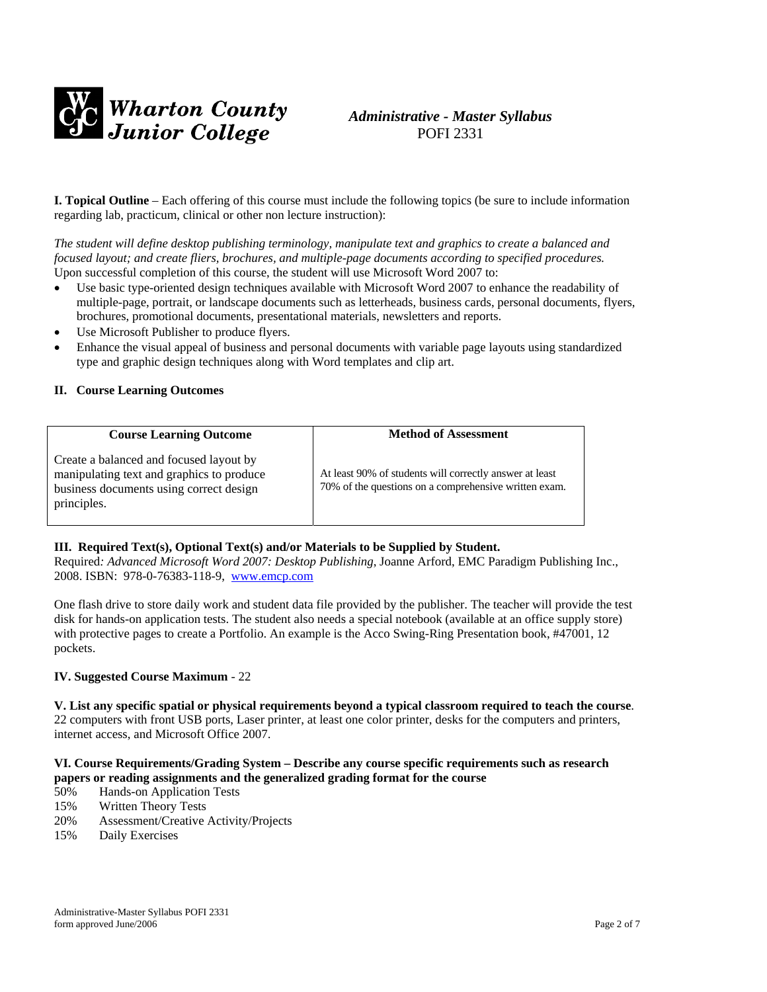

# *Administrative - Master Syllabus*  POFI 2331

**I. Topical Outline** – Each offering of this course must include the following topics (be sure to include information regarding lab, practicum, clinical or other non lecture instruction):

*The student will define desktop publishing terminology, manipulate text and graphics to create a balanced and focused layout; and create fliers, brochures, and multiple-page documents according to specified procedures.*  Upon successful completion of this course, the student will use Microsoft Word 2007 to:

- Use basic type-oriented design techniques available with Microsoft Word 2007 to enhance the readability of multiple-page, portrait, or landscape documents such as letterheads, business cards, personal documents, flyers, brochures, promotional documents, presentational materials, newsletters and reports.
- Use Microsoft Publisher to produce flyers.
- Enhance the visual appeal of business and personal documents with variable page layouts using standardized type and graphic design techniques along with Word templates and clip art.

#### **II. Course Learning Outcomes**

| <b>Course Learning Outcome</b>                                                                                                                 | <b>Method of Assessment</b>                                                                                      |
|------------------------------------------------------------------------------------------------------------------------------------------------|------------------------------------------------------------------------------------------------------------------|
| Create a balanced and focused layout by<br>manipulating text and graphics to produce<br>business documents using correct design<br>principles. | At least 90% of students will correctly answer at least<br>70% of the questions on a comprehensive written exam. |

#### **III. Required Text(s), Optional Text(s) and/or Materials to be Supplied by Student.**

Required*: Advanced Microsoft Word 2007: Desktop Publishing*, Joanne Arford, EMC Paradigm Publishing Inc., 2008. ISBN: 978-0-76383-118-9, [www.emcp.com](http://www.emcp.com/)

One flash drive to store daily work and student data file provided by the publisher. The teacher will provide the test disk for hands-on application tests. The student also needs a special notebook (available at an office supply store) with protective pages to create a Portfolio. An example is the Acco Swing-Ring Presentation book, #47001, 12 pockets.

#### **IV. Suggested Course Maximum** - 22

**V. List any specific spatial or physical requirements beyond a typical classroom required to teach the course**. 22 computers with front USB ports, Laser printer, at least one color printer, desks for the computers and printers, internet access, and Microsoft Office 2007.

#### **VI. Course Requirements/Grading System – Describe any course specific requirements such as research papers or reading assignments and the generalized grading format for the course**

- 50% Hands-on Application Tests
- 15% Written Theory Tests
- 20% Assessment/Creative Activity/Projects
- 15% Daily Exercises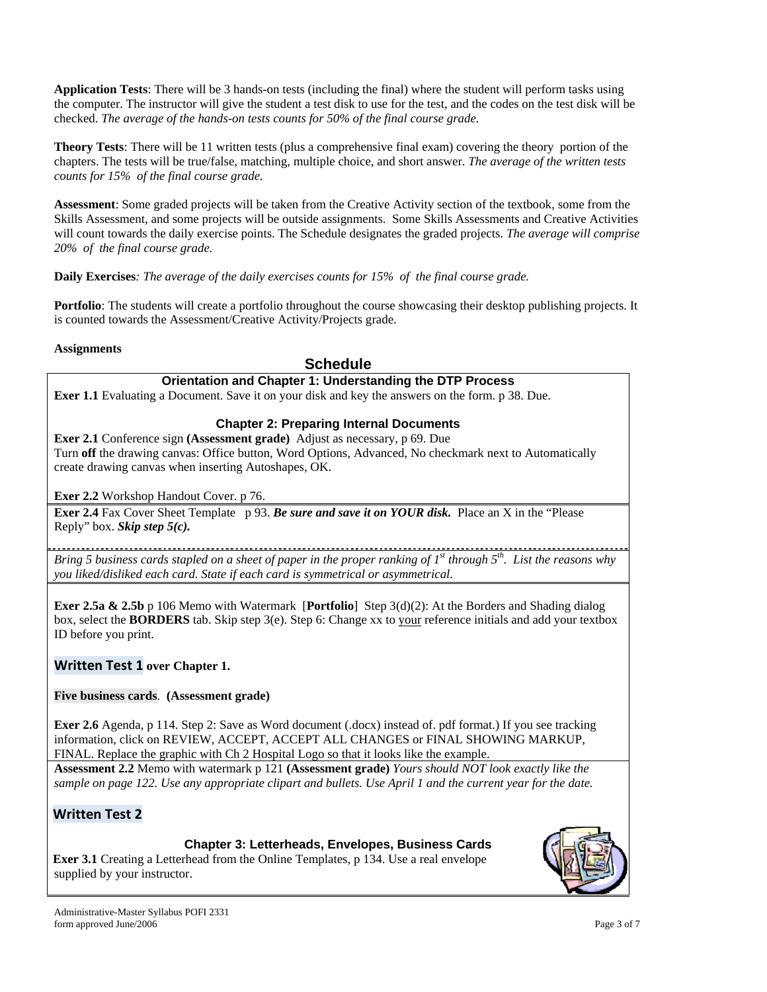**Application Tests**: There will be 3 hands-on tests (including the final) where the student will perform tasks using the computer. The instructor will give the student a test disk to use for the test, and the codes on the test disk will be checked. *The average of the hands-on tests counts for 50% of the final course grade.* 

**Theory Tests**: There will be 11 written tests (plus a comprehensive final exam) covering the theory portion of the chapters. The tests will be true/false, matching, multiple choice, and short answer. *The average of the written tests counts for 15% of the final course grade.* 

**Assessment**: Some graded projects will be taken from the Creative Activity section of the textbook, some from the Skills Assessment, and some projects will be outside assignments. Some Skills Assessments and Creative Activities will count towards the daily exercise points. The Schedule designates the graded projects. *The average will comprise 20% of the final course grade.* 

**Daily Exercises***: The average of the daily exercises counts for 15% of the final course grade.* 

**Portfolio**: The students will create a portfolio throughout the course showcasing their desktop publishing projects. It is counted towards the Assessment/Creative Activity/Projects grade.

## **Assignments**

# **Schedule**

# **Orientation and Chapter 1: Understanding the DTP Process**

**Exer 1.1** Evaluating a Document. Save it on your disk and key the answers on the form. p 38. Due.

# **Chapter 2: Preparing Internal Documents**

**Exer 2.1** Conference sign **(Assessment grade)** Adjust as necessary, p 69. Due Turn **off** the drawing canvas: Office button, Word Options, Advanced, No checkmark next to Automatically create drawing canvas when inserting Autoshapes, OK.

# **Exer 2.2** Workshop Handout Cover. p 76.

**Exer 2.4** Fax Cover Sheet Template p 93. *Be sure and save it on YOUR disk.* Place an X in the "Please" Reply" box. *Skip step 5(c).* 

*Bring 5 business cards stapled on a sheet of paper in the proper ranking of 1st through 5th. List the reasons why you liked/disliked each card. State if each card is symmetrical or asymmetrical.*

**Exer 2.5a & 2.5b** p 106 Memo with Watermark [**Portfolio**] Step 3(d)(2): At the Borders and Shading dialog box, select the **BORDERS** tab. Skip step 3(e). Step 6: Change xx to your reference initials and add your textbox ID before you print.

# **Written Test 1 over Chapter 1.**

#### **Five business cards**. **(Assessment grade)**

**Exer 2.6** Agenda, p 114. Step 2: Save as Word document (.docx) instead of. pdf format.) If you see tracking information, click on REVIEW, ACCEPT, ACCEPT ALL CHANGES or FINAL SHOWING MARKUP, FINAL. Replace the graphic with Ch 2 Hospital Logo so that it looks like the example.

**Assessment 2.2** Memo with watermark p 121 **(Assessment grade)** *Yours should NOT look exactly like the sample on page 122. Use any appropriate clipart and bullets. Use April 1 and the current year for the date.* 

# **Written Test 2**

# **Chapter 3: Letterheads, Envelopes, Business Cards**

**Exer 3.1** Creating a Letterhead from the Online Templates, p 134. Use a real envelope supplied by your instructor.

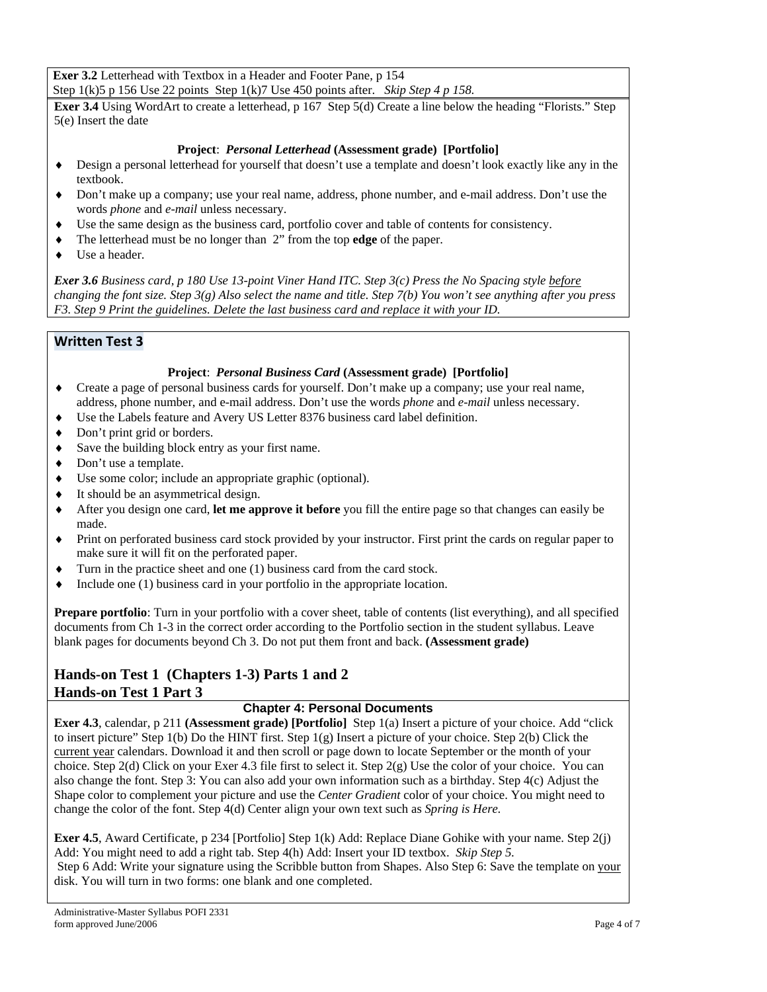**Exer 3.2** Letterhead with Textbox in a Header and Footer Pane, p 154 Step 1(k)5 p 156 Use 22 points Step 1(k)7 Use 450 points after. *Skip Step 4 p 158.*

**Exer 3.4** Using WordArt to create a letterhead, p 167Step 5(d) Create a line below the heading "Florists." Step 5(e) Insert the date

# **Project**: *Personal Letterhead* **(Assessment grade) [Portfolio]**

- ♦ Design a personal letterhead for yourself that doesn't use a template and doesn't look exactly like any in the textbook.
- ♦ Don't make up a company; use your real name, address, phone number, and e-mail address. Don't use the words *phone* and *e-mail* unless necessary.
- ♦ Use the same design as the business card, portfolio cover and table of contents for consistency.
- ♦ The letterhead must be no longer than 2" from the top **edge** of the paper.
- ♦ Use a header.

*Exer 3.6 Business card, p 180 Use 13-point Viner Hand ITC. Step 3(c) Press the No Spacing style before changing the font size. Step 3(g) Also select the name and title. Step 7(b) You won't see anything after you press F3. Step 9 Print the guidelines. Delete the last business card and replace it with your ID.* 

# **Written Test 3**

# **Project**: *Personal Business Card* **(Assessment grade) [Portfolio]**

- ♦ Create a page of personal business cards for yourself. Don't make up a company; use your real name, address, phone number, and e-mail address. Don't use the words *phone* and *e-mail* unless necessary.
- ♦ Use the Labels feature and Avery US Letter 8376 business card label definition.
- Don't print grid or borders.
- ♦ Save the building block entry as your first name.
- ♦ Don't use a template.
- ♦ Use some color; include an appropriate graphic (optional).
- ♦ It should be an asymmetrical design.
- ♦ After you design one card, **let me approve it before** you fill the entire page so that changes can easily be made.
- ♦ Print on perforated business card stock provided by your instructor. First print the cards on regular paper to make sure it will fit on the perforated paper.
- ♦ Turn in the practice sheet and one (1) business card from the card stock.
- ♦ Include one (1) business card in your portfolio in the appropriate location.

**Prepare portfolio**: Turn in your portfolio with a cover sheet, table of contents (list everything), and all specified documents from Ch 1-3 in the correct order according to the Portfolio section in the student syllabus. Leave blank pages for documents beyond Ch 3. Do not put them front and back. **(Assessment grade)**

# **Hands-on Test 1 (Chapters 1-3) Parts 1 and 2 Hands-on Test 1 Part 3**

# **Chapter 4: Personal Documents**

**Exer 4.3**, calendar, p 211 **(Assessment grade) [Portfolio]** Step 1(a) Insert a picture of your choice. Add "click to insert picture" Step 1(b) Do the HINT first. Step 1(g) Insert a picture of your choice. Step 2(b) Click the current year calendars. Download it and then scroll or page down to locate September or the month of your choice. Step 2(d) Click on your Exer 4.3 file first to select it. Step 2(g) Use the color of your choice. You can also change the font. Step 3: You can also add your own information such as a birthday. Step 4(c) Adjust the Shape color to complement your picture and use the *Center Gradient* color of your choice. You might need to change the color of the font. Step 4(d) Center align your own text such as *Spring is Here.* 

**Exer 4.5**, Award Certificate, p 234 [Portfolio] Step 1(k) Add: Replace Diane Gohike with your name. Step 2(j) Add: You might need to add a right tab. Step 4(h) Add: Insert your ID textbox. *Skip Step 5.* Step 6 Add: Write your signature using the Scribble button from Shapes. Also Step 6: Save the template on your disk. You will turn in two forms: one blank and one completed.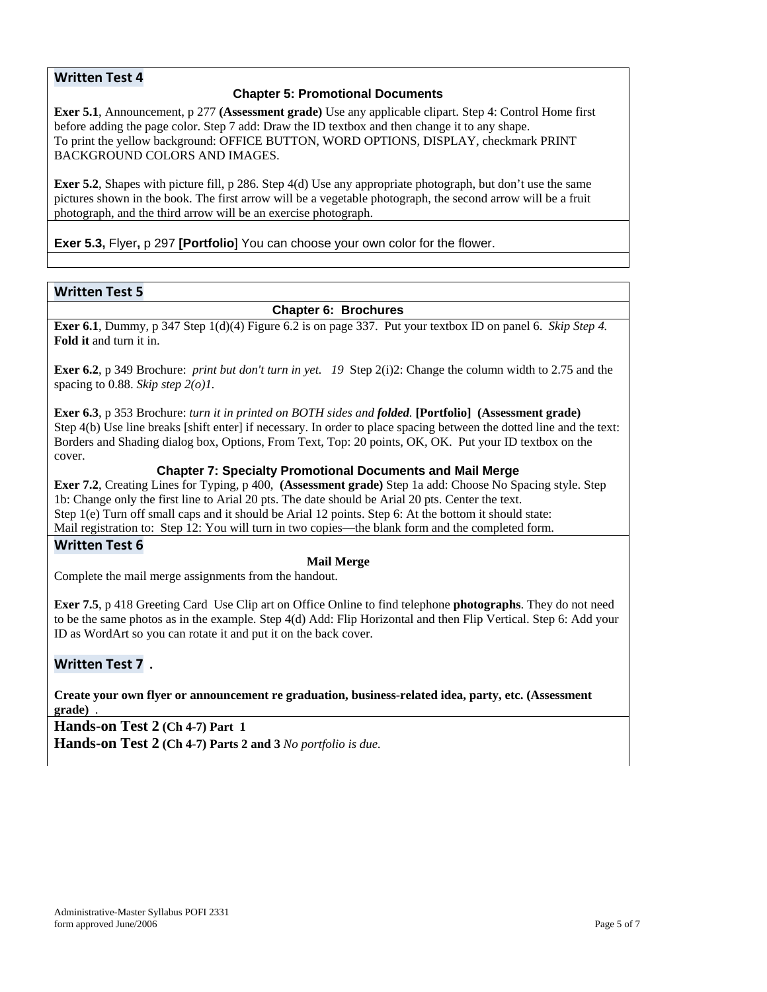# **Written Test 4**

## **Chapter 5: Promotional Documents**

**Exer 5.1**, Announcement, p 277 **(Assessment grade)** Use any applicable clipart. Step 4: Control Home first before adding the page color. Step 7 add: Draw the ID textbox and then change it to any shape. To print the yellow background: OFFICE BUTTON, WORD OPTIONS, DISPLAY, checkmark PRINT BACKGROUND COLORS AND IMAGES.

**Exer 5.2**, Shapes with picture fill, p 286. Step 4(d) Use any appropriate photograph, but don't use the same pictures shown in the book. The first arrow will be a vegetable photograph, the second arrow will be a fruit photograph, and the third arrow will be an exercise photograph.

**Exer 5.3,** Flyer**,** p 297 **[Portfolio**] You can choose your own color for the flower.

#### **Written Test 5**

#### **Chapter 6: Brochures**

**Exer 6.1**, Dummy, p 347 Step 1(d)(4) Figure 6.2 is on page 337. Put your textbox ID on panel 6. *Skip Step 4.* **Fold it** and turn it in.

**Exer 6.2**, p 349 Brochure: *print but don't turn in yet. 19* Step 2(i)2: Change the column width to 2.75 and the spacing to 0.88. *Skip step 2(o)1.*

**Exer 6.3**, p 353 Brochure: *turn it in printed on BOTH sides and folded.* **[Portfolio] (Assessment grade)** Step 4(b) Use line breaks [shift enter] if necessary. In order to place spacing between the dotted line and the text: Borders and Shading dialog box, Options, From Text, Top: 20 points, OK, OK. Put your ID textbox on the cover.

## **Chapter 7: Specialty Promotional Documents and Mail Merge**

**Exer 7.2**, Creating Lines for Typing, p 400, **(Assessment grade)** Step 1a add: Choose No Spacing style. Step 1b: Change only the first line to Arial 20 pts. The date should be Arial 20 pts. Center the text. Step 1(e) Turn off small caps and it should be Arial 12 points. Step 6: At the bottom it should state: Mail registration to: Step 12: You will turn in two copies—the blank form and the completed form.

# **Written Test 6**

#### **Mail Merge**

Complete the mail merge assignments from the handout.

**Exer 7.5**, p 418 Greeting Card Use Clip art on Office Online to find telephone **photographs**. They do not need to be the same photos as in the example. Step 4(d) Add: Flip Horizontal and then Flip Vertical. Step 6: Add your ID as WordArt so you can rotate it and put it on the back cover.

# **Written Test 7 .**

**Create your own flyer or announcement re graduation, business-related idea, party, etc. (Assessment grade)** .

**Hands-on Test 2 (Ch 4-7) Part 1 Hands-on Test 2 (Ch 4-7) Parts 2 and 3** *No portfolio is due.*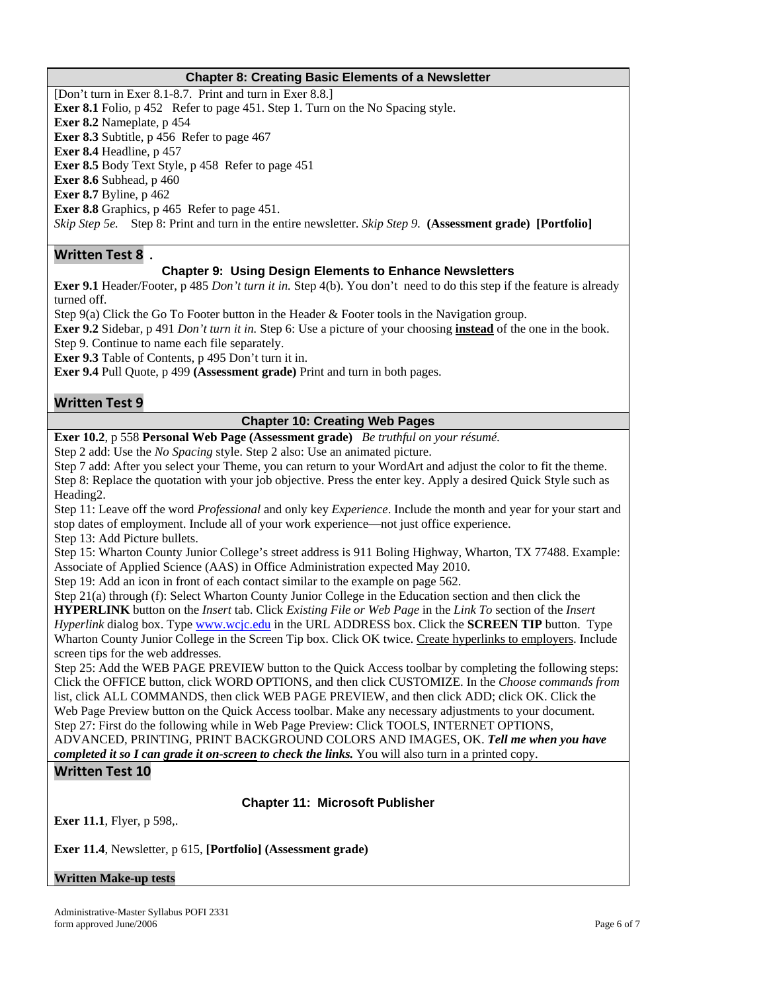#### **Chapter 8: Creating Basic Elements of a Newsletter**

[Don't turn in Exer 8.1-8.7. Print and turn in Exer 8.8.] **Exer 8.1** Folio, p 452 Refer to page 451. Step 1. Turn on the No Spacing style. **Exer 8.2** Nameplate, p 454 **Exer 8.3** Subtitle, p 456 Refer to page 467 **Exer 8.4** Headline, p 457 **Exer 8.5** Body Text Style, p 458 Refer to page 451 **Exer 8.6** Subhead, p 460 **Exer 8.7** Byline, p 462 **Exer 8.8** Graphics, p 465 Refer to page 451. *Skip Step 5e.* Step 8: Print and turn in the entire newsletter. *Skip Step 9.* **(Assessment grade) [Portfolio]** 

#### **Written Test 8 .**

#### **Chapter 9: Using Design Elements to Enhance Newsletters**

**Exer 9.1** Header/Footer, p 485 *Don't turn it in.* Step 4(b). You don't need to do this step if the feature is already turned off.

Step 9(a) Click the Go To Footer button in the Header & Footer tools in the Navigation group.

**Exer 9.2** Sidebar, p 491 *Don't turn it in.* Step 6: Use a picture of your choosing **instead** of the one in the book. Step 9. Continue to name each file separately.

**Exer 9.3** Table of Contents, p 495 Don't turn it in.

**Exer 9.4** Pull Quote, p 499 **(Assessment grade)** Print and turn in both pages.

#### **Written Test 9**

#### **Chapter 10: Creating Web Pages**

**Exer 10.2**, p 558 **Personal Web Page (Assessment grade)** *Be truthful on your résumé.* 

Step 2 add: Use the *No Spacing* style. Step 2 also: Use an animated picture.

Step 7 add: After you select your Theme, you can return to your WordArt and adjust the color to fit the theme. Step 8: Replace the quotation with your job objective. Press the enter key. Apply a desired Quick Style such as Heading2.

Step 11: Leave off the word *Professional* and only key *Experience*. Include the month and year for your start and stop dates of employment. Include all of your work experience—not just office experience. Step 13: Add Picture bullets.

Step 15: Wharton County Junior College's street address is 911 Boling Highway, Wharton, TX 77488. Example: Associate of Applied Science (AAS) in Office Administration expected May 2010.

Step 19: Add an icon in front of each contact similar to the example on page 562.

Step 21(a) through (f): Select Wharton County Junior College in the Education section and then click the **HYPERLINK** button on the *Insert* tab. Click *Existing File or Web Page* in the *Link To* section of the *Insert Hyperlink* dialog box. Type [www.wcjc.edu](http://www.wcjc.edu/) in the URL ADDRESS box. Click the **SCREEN TIP** button. Type Wharton County Junior College in the Screen Tip box. Click OK twice. Create hyperlinks to employers. Include screen tips for the web addresses*.*

Step 25: Add the WEB PAGE PREVIEW button to the Quick Access toolbar by completing the following steps: Click the OFFICE button, click WORD OPTIONS, and then click CUSTOMIZE. In the *Choose commands from* list, click ALL COMMANDS, then click WEB PAGE PREVIEW, and then click ADD; click OK. Click the Web Page Preview button on the Quick Access toolbar. Make any necessary adjustments to your document. Step 27: First do the following while in Web Page Preview: Click TOOLS, INTERNET OPTIONS,

ADVANCED, PRINTING, PRINT BACKGROUND COLORS AND IMAGES, OK. *Tell me when you have completed it so I can grade it on-screen to check the links.* You will also turn in a printed copy.

# **Written Test 10**

**Chapter 11: Microsoft Publisher** 

**Exer 11.1**, Flyer, p 598,.

**Exer 11.4**, Newsletter, p 615, **[Portfolio] (Assessment grade)** 

#### **Written Make-up tests**